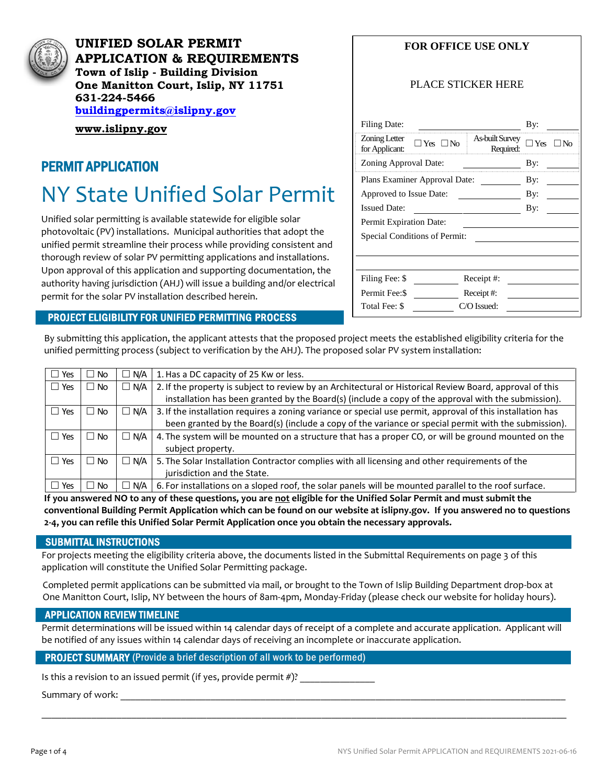

**UNIFIED SOLAR PERMIT APPLICATION & REQUIREMENTS Town of Islip - Building Division One Manitton Court, Islip, NY 11751 631-224-5466 [buildingpermits@islipny.gov](mailto:buildingpermits@islipny.gov)**

**[www.islipny.gov](http://www.islipny.gov/)**

## PERMIT APPLICATION

# NY State Unified Solar Permit

Unified solar permitting is available statewide for eligible solar photovoltaic (PV) installations. Municipal authorities that adopt the unified permit streamline their process while providing consistent and thorough review of solar PV permitting applications and installations. Upon approval of this application and supporting documentation, the authority having jurisdiction (AHJ) will issue a building and/or electrical permit for the solar PV installation described herein.

#### PROJECT ELIGIBILITY FOR UNIFIED PERMITTING PROCESS

#### **FOR OFFICE USE ONLY**

#### PLACE STICKER HERE

| <b>Filing Date:</b>                                                                            | By:               |  |  |  |  |  |  |  |
|------------------------------------------------------------------------------------------------|-------------------|--|--|--|--|--|--|--|
| Zoning Letter<br><b>As-built Survey</b><br>$\Box$ Yes $\Box$ No<br>Required:<br>for Applicant: | $\neg$ Yes<br>1No |  |  |  |  |  |  |  |
| Zoning Approval Date:                                                                          | By:               |  |  |  |  |  |  |  |
| Plans Examiner Approval Date:                                                                  | By:               |  |  |  |  |  |  |  |
| Approved to Issue Date:                                                                        | By:               |  |  |  |  |  |  |  |
| <b>Issued Date:</b>                                                                            | By:               |  |  |  |  |  |  |  |
| Permit Expiration Date:                                                                        |                   |  |  |  |  |  |  |  |
| Special Conditions of Permit:                                                                  |                   |  |  |  |  |  |  |  |
|                                                                                                |                   |  |  |  |  |  |  |  |
|                                                                                                |                   |  |  |  |  |  |  |  |
| Filing Fee: \$<br>Receipt #:                                                                   |                   |  |  |  |  |  |  |  |
| Permit Fee: \$<br>Receipt#:                                                                    |                   |  |  |  |  |  |  |  |
| Total Fee: \$<br>C/O Issued:                                                                   |                   |  |  |  |  |  |  |  |

By submitting this application, the applicant attests that the proposed project meets the established eligibility criteria for the unified permitting process (subject to verification by the AHJ). The proposed solar PV system installation:

| $\Box$ Yes | No.<br>Ш      | $\Box$ N/A | 1. Has a DC capacity of 25 Kw or less.                                                                     |
|------------|---------------|------------|------------------------------------------------------------------------------------------------------------|
| $\Box$ Yes | No.<br>ш      | $\Box$ N/A | 2. If the property is subject to review by an Architectural or Historical Review Board, approval of this   |
|            |               |            | installation has been granted by the Board(s) (include a copy of the approval with the submission).        |
| $\Box$ Yes | No.<br>$\Box$ | $\Box$ N/A | 3. If the installation requires a zoning variance or special use permit, approval of this installation has |
|            |               |            | been granted by the Board(s) (include a copy of the variance or special permit with the submission).       |
| $\Box$ Yes | No.           | $\Box$ N/A | 4. The system will be mounted on a structure that has a proper CO, or will be ground mounted on the        |
|            |               |            | subject property.                                                                                          |
| $\Box$ Yes | No.           | $\Box$ N/A | 5. The Solar Installation Contractor complies with all licensing and other requirements of the             |
|            |               |            | jurisdiction and the State.                                                                                |
| $\Box$ Yes | No.           | $\Box$ N/A | 6. For installations on a sloped roof, the solar panels will be mounted parallel to the roof surface.      |

**If you answered NO to any of these questions, you are not eligible for the Unified Solar Permit and must submit the conventional Building Permit Application which can be found on our website at islipny.gov. If you answered no to questions 2-4, you can refile this Unified Solar Permit Application once you obtain the necessary approvals.**

#### SUBMITTAL INSTRUCTIONS

For projects meeting the eligibility criteria above, the documents listed in the Submittal Requirements on page 3 of this application will constitute the Unified Solar Permitting package.

Completed permit applications can be submitted via mail, or brought to the Town of Islip Building Department drop-box at One Manitton Court, Islip, NY between the hours of 8am-4pm, Monday-Friday (please check our website for holiday hours).

#### APPLICATION REVIEW TIMELINE

Permit determinations will be issued within 14 calendar days of receipt of a complete and accurate application. Applicant will be notified of any issues within 14 calendar days of receiving an incomplete or inaccurate application.

\_\_\_\_\_\_\_\_\_\_\_\_\_\_\_\_\_\_\_\_\_\_\_\_\_\_\_\_\_\_\_\_\_\_\_\_\_\_\_\_\_\_\_\_\_\_\_\_\_\_\_\_\_\_\_\_\_\_\_\_\_\_\_\_\_\_\_\_\_\_\_\_\_\_\_\_\_\_\_\_\_\_\_\_\_\_\_\_\_\_\_\_\_\_\_\_\_\_\_\_\_\_\_\_\_

#### PROJECT SUMMARY (Provide a brief description of all work to be performed)

Is this a revision to an issued permit (if yes, provide permit  $#$ )?

#### Summary of work: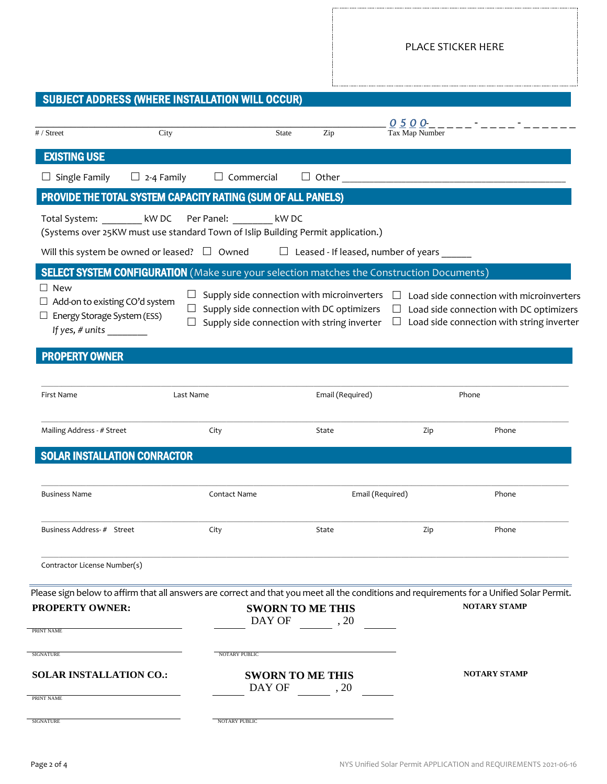## SUBJECT ADDRESS (WHERE INSTALLATION WILL OCCUR)

| # / Street                                                       | City                                                                                                    |                   | <b>State</b> | Zip                                                                                                                                    | <u>0500</u><br>Tax Map Number | and the state of the state of the                                                                                                                                 |  |  |
|------------------------------------------------------------------|---------------------------------------------------------------------------------------------------------|-------------------|--------------|----------------------------------------------------------------------------------------------------------------------------------------|-------------------------------|-------------------------------------------------------------------------------------------------------------------------------------------------------------------|--|--|
| <b>EXISTING USE</b>                                              |                                                                                                         |                   |              |                                                                                                                                        |                               |                                                                                                                                                                   |  |  |
| $\Box$ Single Family                                             | $\Box$ 2-4 Family                                                                                       | $\Box$ Commercial |              | Other                                                                                                                                  |                               |                                                                                                                                                                   |  |  |
|                                                                  | PROVIDE THE TOTAL SYSTEM CAPACITY RATING (SUM OF ALL PANELS)                                            |                   |              |                                                                                                                                        |                               |                                                                                                                                                                   |  |  |
|                                                                  | Total System: kW DC<br>(Systems over 25KW must use standard Town of Islip Building Permit application.) | Per Panel: kW DC  |              |                                                                                                                                        |                               |                                                                                                                                                                   |  |  |
|                                                                  | Will this system be owned or leased? $\Box$ Owned                                                       |                   |              | $\Box$ Leased - If leased, number of years                                                                                             |                               |                                                                                                                                                                   |  |  |
|                                                                  | <b>SELECT SYSTEM CONFIGURATION</b> (Make sure your selection matches the Construction Documents)        |                   |              |                                                                                                                                        |                               |                                                                                                                                                                   |  |  |
| $\Box$ New<br>$\Box$ Energy Storage System (ESS)                 | $\Box$<br>$\Box$ Add-on to existing CO'd system<br>$\Box$                                               |                   |              | Supply side connection with microinverters<br>Supply side connection with DC optimizers<br>Supply side connection with string inverter |                               | Load side connection with microinverters<br>Load side connection with DC optimizers<br>Load side connection with string inverter                                  |  |  |
| <b>PROPERTY OWNER</b>                                            |                                                                                                         |                   |              |                                                                                                                                        |                               |                                                                                                                                                                   |  |  |
| First Name                                                       | Last Name                                                                                               |                   |              | Email (Required)                                                                                                                       | Phone                         |                                                                                                                                                                   |  |  |
| Mailing Address - # Street                                       |                                                                                                         | City              |              | State                                                                                                                                  | Zip                           | Phone                                                                                                                                                             |  |  |
|                                                                  | <b>SOLAR INSTALLATION CONRACTOR</b>                                                                     |                   |              |                                                                                                                                        |                               |                                                                                                                                                                   |  |  |
|                                                                  |                                                                                                         |                   |              |                                                                                                                                        |                               |                                                                                                                                                                   |  |  |
| <b>Business Name</b>                                             | Contact Name                                                                                            |                   |              | Email (Required)                                                                                                                       |                               | Phone                                                                                                                                                             |  |  |
| Business Address-# Street                                        |                                                                                                         | City              |              | State                                                                                                                                  | Zip                           | Phone                                                                                                                                                             |  |  |
| Contractor License Number(s)                                     |                                                                                                         |                   |              |                                                                                                                                        |                               |                                                                                                                                                                   |  |  |
| <b>PROPERTY OWNER:</b>                                           |                                                                                                         |                   | DAY OF       | <b>SWORN TO ME THIS</b><br>$\frac{1}{20}$ , 20                                                                                         |                               | Please sign below to affirm that all answers are correct and that you meet all the conditions and requirements for a Unified Solar Permit.<br><b>NOTARY STAMP</b> |  |  |
| PRINT NAME                                                       |                                                                                                         |                   |              |                                                                                                                                        |                               |                                                                                                                                                                   |  |  |
| <b>SIGNATURE</b><br><b>SOLAR INSTALLATION CO.:</b><br>PRINT NAME |                                                                                                         | NOTARY PUBLIC     | DAY OF       | <b>SWORN TO ME THIS</b><br>$\sim$ , 20                                                                                                 |                               | <b>NOTARY STAMP</b>                                                                                                                                               |  |  |
| <b>SIGNATURE</b>                                                 |                                                                                                         | NOTARY PUBLIC     |              |                                                                                                                                        |                               |                                                                                                                                                                   |  |  |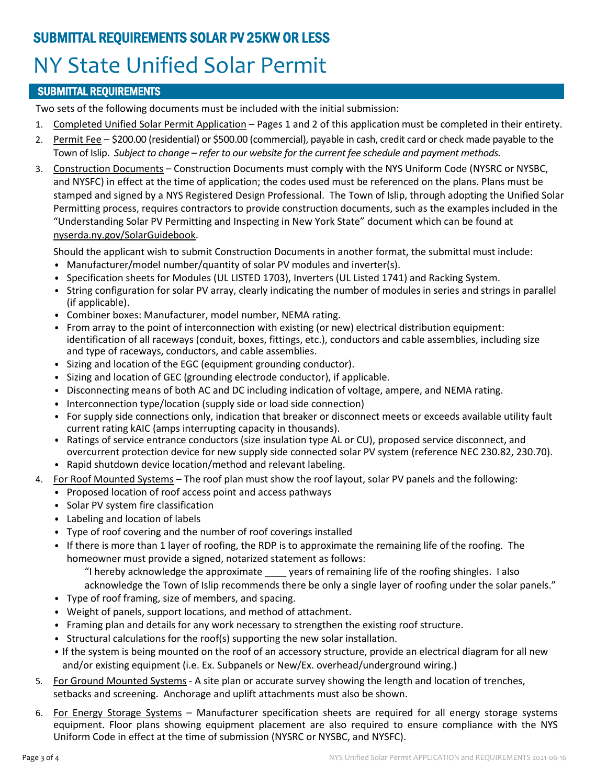## SUBMITTAL REQUIREMENTS SOLAR PV 25KW OR LESS NY State Unified Solar Permit

### SUBMITTAL REQUIREMENTS

Two sets of the following documents must be included with the initial submission:

- 1. Completed Unified Solar Permit Application Pages 1 and 2 of this application must be completed in their entirety.
- 2. Permit Fee \$200.00 (residential) or \$500.00 (commercial), payable in cash, credit card or check made payable to the Town of Islip. *Subject to change – refer to our website for the current fee schedule and payment methods.*
- 3. Construction Documents Construction Documents must comply with the NYS Uniform Code (NYSRC or NYSBC, and NYSFC) in effect at the time of application; the codes used must be referenced on the plans. Plans must be stamped and signed by a NYS Registered Design Professional. The Town of Islip, through adopting the Unified Solar Permitting process, requires contractors to provide construction documents, such as the examples included in the "Understanding Solar PV Permitting and Inspecting in New York State" document which can be found at nyserda.ny.gov/SolarGuidebook.

Should the applicant wish to submit Construction Documents in another format, the submittal must include:

- Manufacturer/model number/quantity of solar PV modules and inverter(s).
- Specification sheets for Modules (UL LISTED 1703), Inverters (UL Listed 1741) and Racking System.
- String configuration for solar PV array, clearly indicating the number of modules in series and strings in parallel (if applicable).
- Combiner boxes: Manufacturer, model number, NEMA rating.
- From array to the point of interconnection with existing (or new) electrical distribution equipment: identification of all raceways (conduit, boxes, fittings, etc.), conductors and cable assemblies, including size and type of raceways, conductors, and cable assemblies.
- Sizing and location of the EGC (equipment grounding conductor).
- Sizing and location of GEC (grounding electrode conductor), if applicable.
- Disconnecting means of both AC and DC including indication of voltage, ampere, and NEMA rating.
- Interconnection type/location (supply side or load side connection)
- For supply side connections only, indication that breaker or disconnect meets or exceeds available utility fault current rating kAIC (amps interrupting capacity in thousands).
- Ratings of service entrance conductors (size insulation type AL or CU), proposed service disconnect, and overcurrent protection device for new supply side connected solar PV system (reference NEC 230.82, 230.70).
- Rapid shutdown device location/method and relevant labeling.
- 4. For Roof Mounted Systems The roof plan must show the roof layout, solar PV panels and the following:
	- Proposed location of roof access point and access pathways
	- Solar PV system fire classification
	- Labeling and location of labels
	- Type of roof covering and the number of roof coverings installed
	- If there is more than 1 layer of roofing, the RDP is to approximate the remaining life of the roofing. The homeowner must provide a signed, notarized statement as follows:
		- "I hereby acknowledge the approximate \_\_\_\_ years of remaining life of the roofing shingles. I also
		- acknowledge the Town of Islip recommends there be only a single layer of roofing under the solar panels."
	- Type of roof framing, size of members, and spacing.
	- Weight of panels, support locations, and method of attachment.
	- Framing plan and details for any work necessary to strengthen the existing roof structure.
	- Structural calculations for the roof(s) supporting the new solar installation.
	- If the system is being mounted on the roof of an accessory structure, provide an electrical diagram for all new and/or existing equipment (i.e. Ex. Subpanels or New/Ex. overhead/underground wiring.)
- 5. For Ground Mounted Systems A site plan or accurate survey showing the length and location of trenches, setbacks and screening. Anchorage and uplift attachments must also be shown.
- 6. For Energy Storage Systems Manufacturer specification sheets are required for all energy storage systems equipment. Floor plans showing equipment placement are also required to ensure compliance with the NYS Uniform Code in effect at the time of submission (NYSRC or NYSBC, and NYSFC).